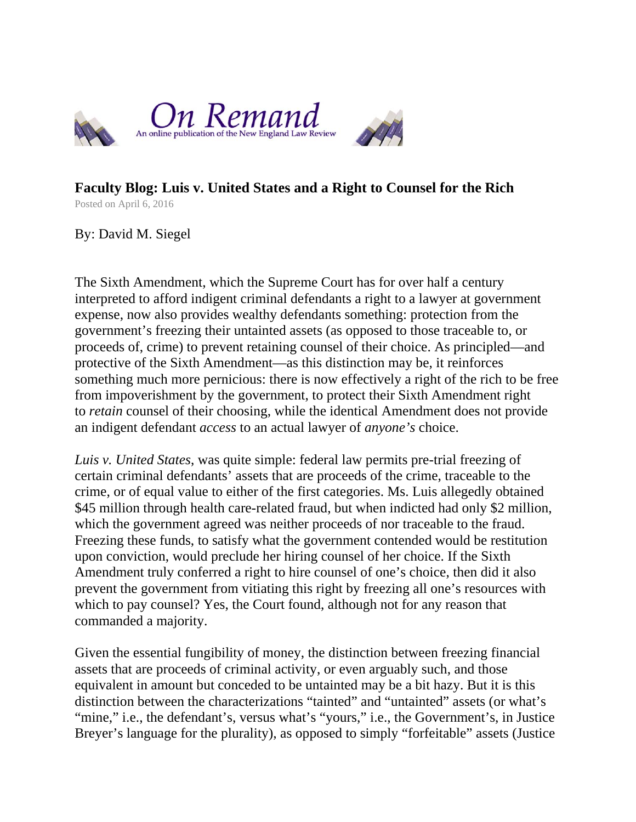

## **Faculty Blog: Luis v. United States and a Right to Counsel for the Rich** Posted on April 6, 2016

By: David M. Siegel

The Sixth Amendment, which the Supreme Court has for over half a century interpreted to afford indigent criminal defendants a right to a lawyer at government expense, now also provides wealthy defendants something: protection from the government's freezing their untainted assets (as opposed to those traceable to, or proceeds of, crime) to prevent retaining counsel of their choice. As principled—and protective of the Sixth Amendment—as this distinction may be, it reinforces something much more pernicious: there is now effectively a right of the rich to be free from impoverishment by the government, to protect their Sixth Amendment right to *retain* counsel of their choosing, while the identical Amendment does not provide an indigent defendant *access* to an actual lawyer of *anyone's* choice.

*Luis v. United States*, was quite simple: federal law permits pre-trial freezing of certain criminal defendants' assets that are proceeds of the crime, traceable to the crime, or of equal value to either of the first categories. Ms. Luis allegedly obtained \$45 million through health care-related fraud, but when indicted had only \$2 million, which the government agreed was neither proceeds of nor traceable to the fraud. Freezing these funds, to satisfy what the government contended would be restitution upon conviction, would preclude her hiring counsel of her choice. If the Sixth Amendment truly conferred a right to hire counsel of one's choice, then did it also prevent the government from vitiating this right by freezing all one's resources with which to pay counsel? Yes, the Court found, although not for any reason that commanded a majority.

Given the essential fungibility of money, the distinction between freezing financial assets that are proceeds of criminal activity, or even arguably such, and those equivalent in amount but conceded to be untainted may be a bit hazy. But it is this distinction between the characterizations "tainted" and "untainted" assets (or what's "mine," i.e., the defendant's, versus what's "yours," i.e., the Government's, in Justice Breyer's language for the plurality), as opposed to simply "forfeitable" assets (Justice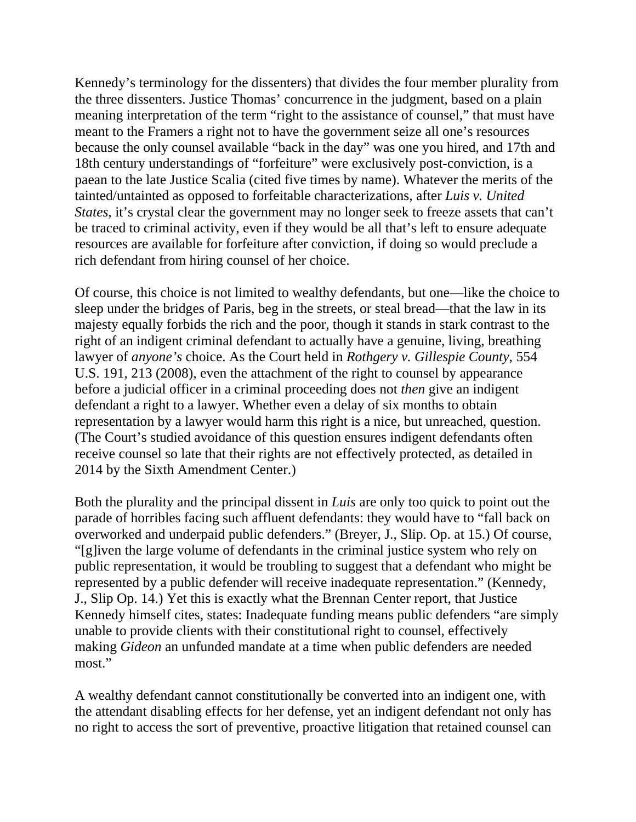Kennedy's terminology for the dissenters) that divides the four member plurality from the three dissenters. Justice Thomas' concurrence in the judgment, based on a plain meaning interpretation of the term "right to the assistance of counsel," that must have meant to the Framers a right not to have the government seize all one's resources because the only counsel available "back in the day" was one you hired, and 17th and 18th century understandings of "forfeiture" were exclusively post-conviction, is a paean to the late Justice Scalia (cited five times by name). Whatever the merits of the tainted/untainted as opposed to forfeitable characterizations, after *Luis v. United States*, it's crystal clear the government may no longer seek to freeze assets that can't be traced to criminal activity, even if they would be all that's left to ensure adequate resources are available for forfeiture after conviction, if doing so would preclude a rich defendant from hiring counsel of her choice.

Of course, this choice is not limited to wealthy defendants, but one—like the choice to sleep under the bridges of Paris, beg in the streets, or steal bread—that the law in its majesty equally forbids the rich and the poor, though it stands in stark contrast to the right of an indigent criminal defendant to actually have a genuine, living, breathing lawyer of *anyone's* choice. As the Court held in *Rothgery v. Gillespie County*, 554 U.S. 191, 213 (2008), even the attachment of the right to counsel by appearance before a judicial officer in a criminal proceeding does not *then* give an indigent defendant a right to a lawyer. Whether even a delay of six months to obtain representation by a lawyer would harm this right is a nice, but unreached, question. (The Court's studied avoidance of this question ensures indigent defendants often receive counsel so late that their rights are not effectively protected, as detailed in 2014 by the Sixth Amendment Center.)

Both the plurality and the principal dissent in *Luis* are only too quick to point out the parade of horribles facing such affluent defendants: they would have to "fall back on overworked and underpaid public defenders." (Breyer, J., Slip. Op. at 15.) Of course, "[g]iven the large volume of defendants in the criminal justice system who rely on public representation, it would be troubling to suggest that a defendant who might be represented by a public defender will receive inadequate representation." (Kennedy, J., Slip Op. 14.) Yet this is exactly what the Brennan Center report, that Justice Kennedy himself cites, states: Inadequate funding means public defenders "are simply unable to provide clients with their constitutional right to counsel, effectively making *Gideon* an unfunded mandate at a time when public defenders are needed most."

A wealthy defendant cannot constitutionally be converted into an indigent one, with the attendant disabling effects for her defense, yet an indigent defendant not only has no right to access the sort of preventive, proactive litigation that retained counsel can